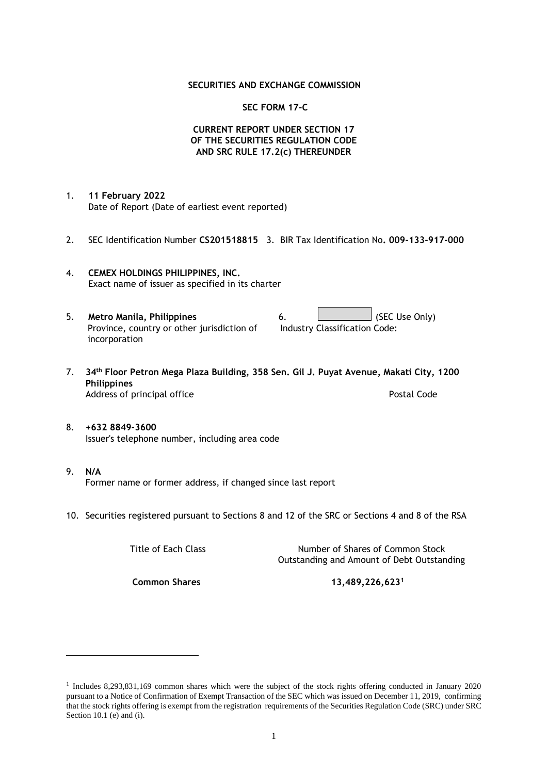### **SECURITIES AND EXCHANGE COMMISSION**

#### **SEC FORM 17-C**

# **CURRENT REPORT UNDER SECTION 17 OF THE SECURITIES REGULATION CODE AND SRC RULE 17.2(c) THEREUNDER**

- 1. **11 February 2022** Date of Report (Date of earliest event reported)
- 2. SEC Identification Number **CS201518815** 3. BIR Tax Identification No**. 009-133-917-000**
- 4. **CEMEX HOLDINGS PHILIPPINES, INC.** Exact name of issuer as specified in its charter
- 5. **Metro Manila, Philippines** 6. **Conduct Accord 6.** (SEC Use Only) Province, country or other jurisdiction of incorporation Industry Classification Code:
- 7. **34th Floor Petron Mega Plaza Building, 358 Sen. Gil J. Puyat Avenue, Makati City, 1200 Philippines** Address of principal office **Postal Code** Postal Code
- 8. **+632 8849-3600** Issuer's telephone number, including area code
- 9. **N/A** Former name or former address, if changed since last report
- 10. Securities registered pursuant to Sections 8 and 12 of the SRC or Sections 4 and 8 of the RSA

Title of Each Class Title of Each Class Number of Shares of Common Stock Outstanding and Amount of Debt Outstanding

**Common Shares 13,489,226,623<sup>1</sup>**

<sup>1</sup> Includes 8,293,831,169 common shares which were the subject of the stock rights offering conducted in January 2020 pursuant to a Notice of Confirmation of Exempt Transaction of the SEC which was issued on December 11, 2019, confirming that the stock rights offering is exempt from the registration requirements of the Securities Regulation Code (SRC) under SRC Section 10.1 (e) and (i).